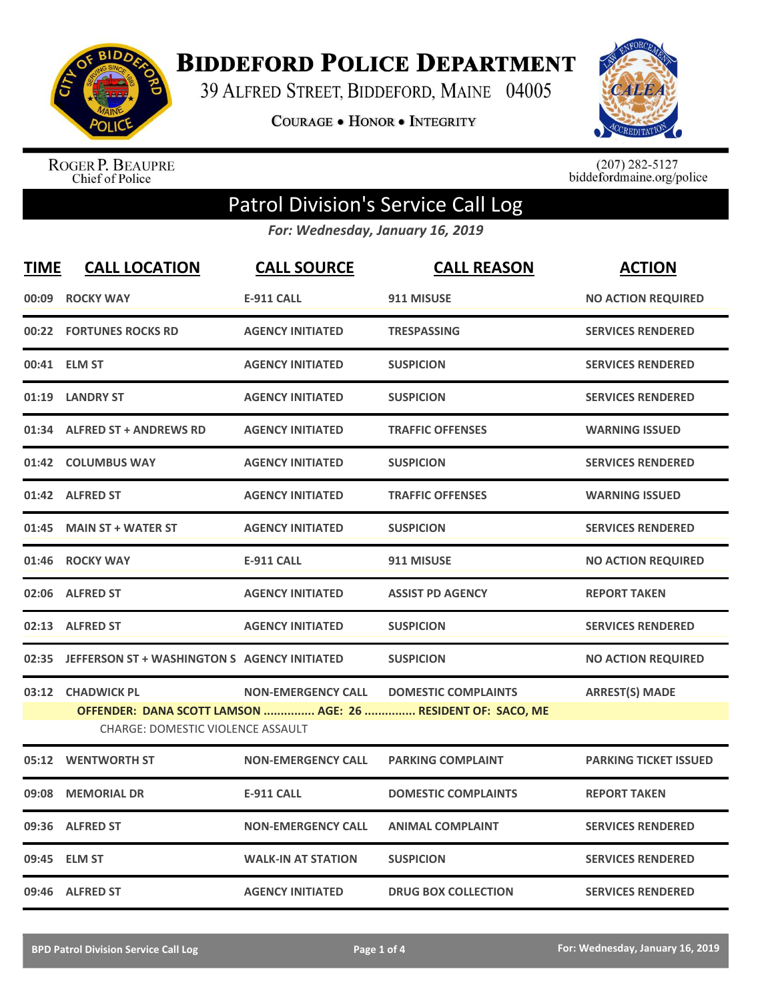

**BIDDEFORD POLICE DEPARTMENT** 

39 ALFRED STREET, BIDDEFORD, MAINE 04005

**COURAGE . HONOR . INTEGRITY** 



ROGER P. BEAUPRE<br>Chief of Police

 $(207)$  282-5127<br>biddefordmaine.org/police

## Patrol Division's Service Call Log

*For: Wednesday, January 16, 2019*

| <b>TIME</b> | <b>CALL LOCATION</b>                                                                             | <b>CALL SOURCE</b>        | <b>CALL REASON</b>         | <b>ACTION</b>                |  |
|-------------|--------------------------------------------------------------------------------------------------|---------------------------|----------------------------|------------------------------|--|
| 00:09       | <b>ROCKY WAY</b>                                                                                 | <b>E-911 CALL</b>         | 911 MISUSE                 | <b>NO ACTION REQUIRED</b>    |  |
|             | 00:22 FORTUNES ROCKS RD                                                                          | <b>AGENCY INITIATED</b>   | <b>TRESPASSING</b>         | <b>SERVICES RENDERED</b>     |  |
| 00:41       | <b>ELM ST</b>                                                                                    | <b>AGENCY INITIATED</b>   | <b>SUSPICION</b>           | <b>SERVICES RENDERED</b>     |  |
| 01:19       | <b>LANDRY ST</b>                                                                                 | <b>AGENCY INITIATED</b>   | <b>SUSPICION</b>           | <b>SERVICES RENDERED</b>     |  |
| 01:34       | <b>ALFRED ST + ANDREWS RD</b>                                                                    | <b>AGENCY INITIATED</b>   | <b>TRAFFIC OFFENSES</b>    | <b>WARNING ISSUED</b>        |  |
|             | 01:42 COLUMBUS WAY                                                                               | <b>AGENCY INITIATED</b>   | <b>SUSPICION</b>           | <b>SERVICES RENDERED</b>     |  |
|             | 01:42 ALFRED ST                                                                                  | <b>AGENCY INITIATED</b>   | <b>TRAFFIC OFFENSES</b>    | <b>WARNING ISSUED</b>        |  |
| 01:45       | <b>MAIN ST + WATER ST</b>                                                                        | <b>AGENCY INITIATED</b>   | <b>SUSPICION</b>           | <b>SERVICES RENDERED</b>     |  |
| 01:46       | <b>ROCKY WAY</b>                                                                                 | <b>E-911 CALL</b>         | 911 MISUSE                 | <b>NO ACTION REQUIRED</b>    |  |
|             | 02:06 ALFRED ST                                                                                  | <b>AGENCY INITIATED</b>   | <b>ASSIST PD AGENCY</b>    | <b>REPORT TAKEN</b>          |  |
|             | 02:13 ALFRED ST                                                                                  | <b>AGENCY INITIATED</b>   | <b>SUSPICION</b>           | <b>SERVICES RENDERED</b>     |  |
|             | 02:35 JEFFERSON ST + WASHINGTON S AGENCY INITIATED                                               |                           | <b>SUSPICION</b>           | <b>NO ACTION REQUIRED</b>    |  |
| 03:12       | <b>CHADWICK PL</b>                                                                               | <b>NON-EMERGENCY CALL</b> | <b>DOMESTIC COMPLAINTS</b> | <b>ARREST(S) MADE</b>        |  |
|             | OFFENDER: DANA SCOTT LAMSON  AGE: 26  RESIDENT OF: SACO, ME<br>CHARGE: DOMESTIC VIOLENCE ASSAULT |                           |                            |                              |  |
|             | 05:12 WENTWORTH ST                                                                               | <b>NON-EMERGENCY CALL</b> | <b>PARKING COMPLAINT</b>   | <b>PARKING TICKET ISSUED</b> |  |
| 09:08       | <b>MEMORIAL DR</b>                                                                               | <b>E-911 CALL</b>         | <b>DOMESTIC COMPLAINTS</b> | <b>REPORT TAKEN</b>          |  |
| 09:36       | <b>ALFRED ST</b>                                                                                 | <b>NON-EMERGENCY CALL</b> | <b>ANIMAL COMPLAINT</b>    | <b>SERVICES RENDERED</b>     |  |
| 09:45       | <b>ELM ST</b>                                                                                    | <b>WALK-IN AT STATION</b> | <b>SUSPICION</b>           | <b>SERVICES RENDERED</b>     |  |
|             | 09:46 ALFRED ST                                                                                  | <b>AGENCY INITIATED</b>   | <b>DRUG BOX COLLECTION</b> | <b>SERVICES RENDERED</b>     |  |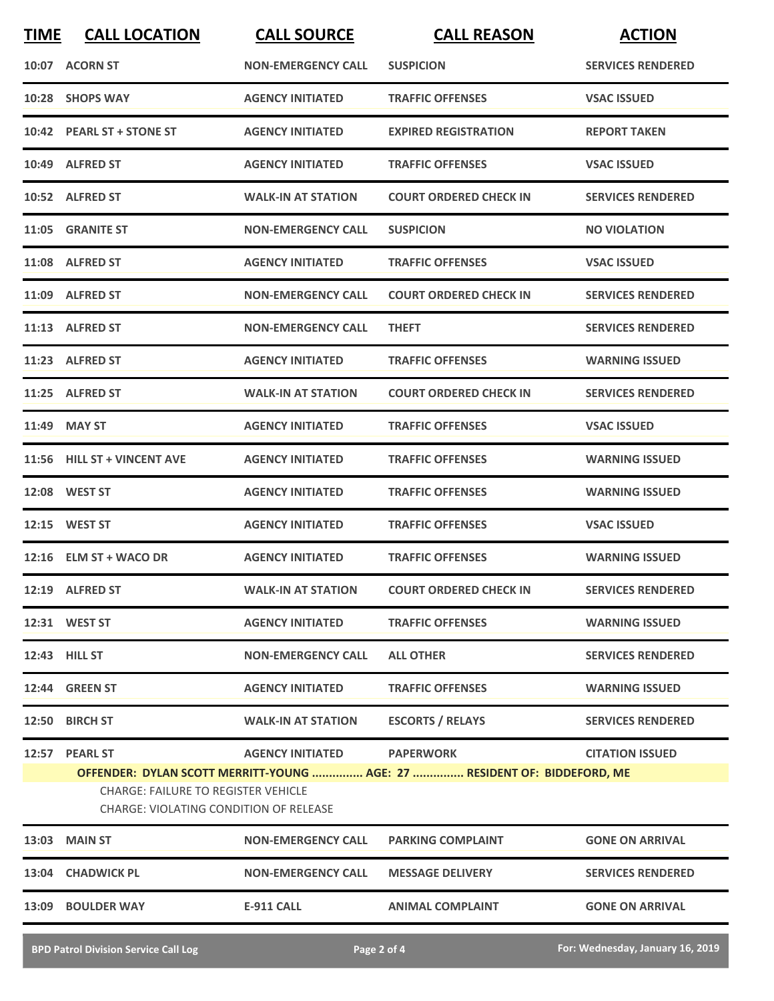| <b>TIME</b>                                                                                 | <b>CALL LOCATION</b>        | <b>CALL SOURCE</b>        | <b>CALL REASON</b>                                                                           | <b>ACTION</b>            |
|---------------------------------------------------------------------------------------------|-----------------------------|---------------------------|----------------------------------------------------------------------------------------------|--------------------------|
|                                                                                             | 10:07 ACORN ST              | <b>NON-EMERGENCY CALL</b> | <b>SUSPICION</b>                                                                             | <b>SERVICES RENDERED</b> |
|                                                                                             | 10:28 SHOPS WAY             | <b>AGENCY INITIATED</b>   | <b>TRAFFIC OFFENSES</b>                                                                      | <b>VSAC ISSUED</b>       |
|                                                                                             | 10:42 PEARL ST + STONE ST   | <b>AGENCY INITIATED</b>   | <b>EXPIRED REGISTRATION</b>                                                                  | <b>REPORT TAKEN</b>      |
|                                                                                             | 10:49 ALFRED ST             | <b>AGENCY INITIATED</b>   | <b>TRAFFIC OFFENSES</b>                                                                      | <b>VSAC ISSUED</b>       |
|                                                                                             | 10:52 ALFRED ST             | <b>WALK-IN AT STATION</b> | <b>COURT ORDERED CHECK IN</b>                                                                | <b>SERVICES RENDERED</b> |
|                                                                                             | 11:05 GRANITE ST            | <b>NON-EMERGENCY CALL</b> | <b>SUSPICION</b>                                                                             | <b>NO VIOLATION</b>      |
|                                                                                             | 11:08 ALFRED ST             | <b>AGENCY INITIATED</b>   | <b>TRAFFIC OFFENSES</b>                                                                      | <b>VSAC ISSUED</b>       |
|                                                                                             | 11:09 ALFRED ST             | <b>NON-EMERGENCY CALL</b> | <b>COURT ORDERED CHECK IN</b>                                                                | <b>SERVICES RENDERED</b> |
|                                                                                             | 11:13 ALFRED ST             | <b>NON-EMERGENCY CALL</b> | <b>THEFT</b>                                                                                 | <b>SERVICES RENDERED</b> |
|                                                                                             | 11:23 ALFRED ST             | <b>AGENCY INITIATED</b>   | <b>TRAFFIC OFFENSES</b>                                                                      | <b>WARNING ISSUED</b>    |
|                                                                                             | 11:25 ALFRED ST             | <b>WALK-IN AT STATION</b> | <b>COURT ORDERED CHECK IN</b>                                                                | <b>SERVICES RENDERED</b> |
|                                                                                             | 11:49 MAY ST                | <b>AGENCY INITIATED</b>   | <b>TRAFFIC OFFENSES</b>                                                                      | <b>VSAC ISSUED</b>       |
|                                                                                             | 11:56 HILL ST + VINCENT AVE | <b>AGENCY INITIATED</b>   | <b>TRAFFIC OFFENSES</b>                                                                      | <b>WARNING ISSUED</b>    |
|                                                                                             | 12:08 WEST ST               | <b>AGENCY INITIATED</b>   | <b>TRAFFIC OFFENSES</b>                                                                      | <b>WARNING ISSUED</b>    |
|                                                                                             | 12:15 WEST ST               | <b>AGENCY INITIATED</b>   | <b>TRAFFIC OFFENSES</b>                                                                      | <b>VSAC ISSUED</b>       |
|                                                                                             | 12:16 ELM ST + WACO DR      | <b>AGENCY INITIATED</b>   | <b>TRAFFIC OFFENSES</b>                                                                      | <b>WARNING ISSUED</b>    |
|                                                                                             | 12:19 ALFRED ST             |                           | WALK-IN AT STATION COURT ORDERED CHECK IN                                                    | <b>SERVICES RENDERED</b> |
|                                                                                             | 12:31 WEST ST               | <b>AGENCY INITIATED</b>   | <b>TRAFFIC OFFENSES</b>                                                                      | <b>WARNING ISSUED</b>    |
|                                                                                             | 12:43 HILL ST               | <b>NON-EMERGENCY CALL</b> | <b>ALL OTHER</b>                                                                             | <b>SERVICES RENDERED</b> |
|                                                                                             | 12:44 GREEN ST              | <b>AGENCY INITIATED</b>   | <b>TRAFFIC OFFENSES</b>                                                                      | <b>WARNING ISSUED</b>    |
|                                                                                             | 12:50 BIRCH ST              | <b>WALK-IN AT STATION</b> | <b>ESCORTS / RELAYS</b>                                                                      | <b>SERVICES RENDERED</b> |
|                                                                                             | 12:57 PEARL ST              | <b>AGENCY INITIATED</b>   | <b>PAPERWORK</b><br>OFFENDER: DYLAN SCOTT MERRITT-YOUNG  AGE: 27  RESIDENT OF: BIDDEFORD, ME | <b>CITATION ISSUED</b>   |
| <b>CHARGE: FAILURE TO REGISTER VEHICLE</b><br><b>CHARGE: VIOLATING CONDITION OF RELEASE</b> |                             |                           |                                                                                              |                          |
|                                                                                             | 13:03 MAIN ST               | <b>NON-EMERGENCY CALL</b> | <b>PARKING COMPLAINT</b>                                                                     | <b>GONE ON ARRIVAL</b>   |
|                                                                                             | 13:04 CHADWICK PL           | <b>NON-EMERGENCY CALL</b> | <b>MESSAGE DELIVERY</b>                                                                      | <b>SERVICES RENDERED</b> |
|                                                                                             | 13:09 BOULDER WAY           | <b>E-911 CALL</b>         | <b>ANIMAL COMPLAINT</b>                                                                      | <b>GONE ON ARRIVAL</b>   |
|                                                                                             |                             |                           |                                                                                              |                          |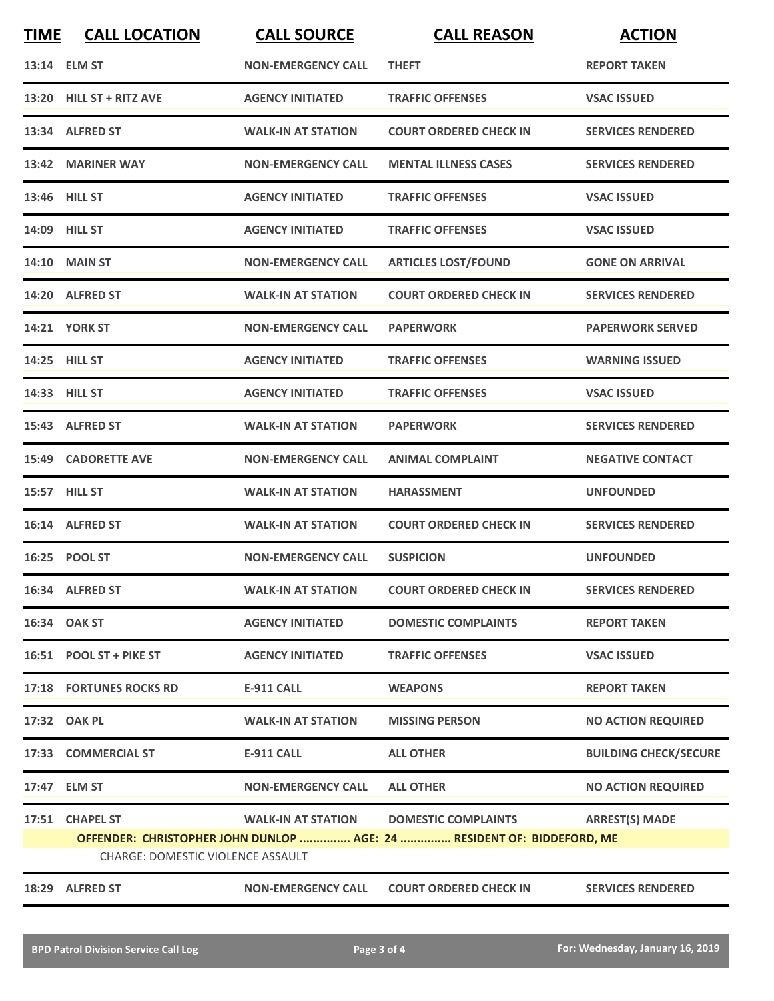| <b>TIME</b> | <b>CALL LOCATION</b>              | <b>CALL SOURCE</b>        | <b>CALL REASON</b>                                                     | <b>ACTION</b>                |
|-------------|-----------------------------------|---------------------------|------------------------------------------------------------------------|------------------------------|
|             | 13:14 ELM ST                      | <b>NON-EMERGENCY CALL</b> | <b>THEFT</b>                                                           | <b>REPORT TAKEN</b>          |
|             | 13:20 HILL ST + RITZ AVE          | <b>AGENCY INITIATED</b>   | <b>TRAFFIC OFFENSES</b>                                                | <b>VSAC ISSUED</b>           |
|             | 13:34 ALFRED ST                   | <b>WALK-IN AT STATION</b> | <b>COURT ORDERED CHECK IN</b>                                          | <b>SERVICES RENDERED</b>     |
|             | 13:42 MARINER WAY                 | <b>NON-EMERGENCY CALL</b> | <b>MENTAL ILLNESS CASES</b>                                            | <b>SERVICES RENDERED</b>     |
|             | 13:46 HILL ST                     | <b>AGENCY INITIATED</b>   | <b>TRAFFIC OFFENSES</b>                                                | <b>VSAC ISSUED</b>           |
|             | <b>14:09 HILL ST</b>              | <b>AGENCY INITIATED</b>   | <b>TRAFFIC OFFENSES</b>                                                | <b>VSAC ISSUED</b>           |
|             | <b>14:10 MAIN ST</b>              | <b>NON-EMERGENCY CALL</b> | <b>ARTICLES LOST/FOUND</b>                                             | <b>GONE ON ARRIVAL</b>       |
|             | 14:20 ALFRED ST                   | <b>WALK-IN AT STATION</b> | <b>COURT ORDERED CHECK IN</b>                                          | <b>SERVICES RENDERED</b>     |
|             | <b>14:21 YORK ST</b>              | <b>NON-EMERGENCY CALL</b> | <b>PAPERWORK</b>                                                       | <b>PAPERWORK SERVED</b>      |
|             | 14:25 HILL ST                     | <b>AGENCY INITIATED</b>   | <b>TRAFFIC OFFENSES</b>                                                | <b>WARNING ISSUED</b>        |
|             | 14:33 HILL ST                     | <b>AGENCY INITIATED</b>   | <b>TRAFFIC OFFENSES</b>                                                | <b>VSAC ISSUED</b>           |
|             | 15:43 ALFRED ST                   | <b>WALK-IN AT STATION</b> | <b>PAPERWORK</b>                                                       | <b>SERVICES RENDERED</b>     |
|             | <b>15:49 CADORETTE AVE</b>        | <b>NON-EMERGENCY CALL</b> | <b>ANIMAL COMPLAINT</b>                                                | <b>NEGATIVE CONTACT</b>      |
|             | 15:57 HILL ST                     | <b>WALK-IN AT STATION</b> | <b>HARASSMENT</b>                                                      | <b>UNFOUNDED</b>             |
|             | 16:14 ALFRED ST                   | <b>WALK-IN AT STATION</b> | <b>COURT ORDERED CHECK IN</b>                                          | <b>SERVICES RENDERED</b>     |
|             | 16:25 POOL ST                     | <b>NON-EMERGENCY CALL</b> | <b>SUSPICION</b>                                                       | <b>UNFOUNDED</b>             |
|             | 16:34 ALFRED ST                   | <b>WALK-IN AT STATION</b> | <b>COURT ORDERED CHECK IN</b>                                          | <b>SERVICES RENDERED</b>     |
|             | 16:34 OAK ST                      | <b>AGENCY INITIATED</b>   | <b>DOMESTIC COMPLAINTS</b>                                             | <b>REPORT TAKEN</b>          |
|             | 16:51 POOL ST + PIKE ST           | <b>AGENCY INITIATED</b>   | <b>TRAFFIC OFFENSES</b>                                                | <b>VSAC ISSUED</b>           |
|             | <b>17:18 FORTUNES ROCKS RD</b>    | <b>E-911 CALL</b>         | <b>WEAPONS</b>                                                         | <b>REPORT TAKEN</b>          |
|             | 17:32 OAK PL                      | <b>WALK-IN AT STATION</b> | <b>MISSING PERSON</b>                                                  | <b>NO ACTION REQUIRED</b>    |
|             | 17:33 COMMERCIAL ST               | <b>E-911 CALL</b>         | <b>ALL OTHER</b>                                                       | <b>BUILDING CHECK/SECURE</b> |
|             | 17:47 ELM ST                      | <b>NON-EMERGENCY CALL</b> | <b>ALL OTHER</b>                                                       | <b>NO ACTION REQUIRED</b>    |
|             | 17:51 CHAPEL ST                   | <b>WALK-IN AT STATION</b> | <b>DOMESTIC COMPLAINTS</b>                                             | <b>ARREST(S) MADE</b>        |
|             | CHARGE: DOMESTIC VIOLENCE ASSAULT |                           | OFFENDER: CHRISTOPHER JOHN DUNLOP  AGE: 24  RESIDENT OF: BIDDEFORD, ME |                              |
| 18:29       | <b>ALFRED ST</b>                  | <b>NON-EMERGENCY CALL</b> | <b>COURT ORDERED CHECK IN</b>                                          | <b>SERVICES RENDERED</b>     |